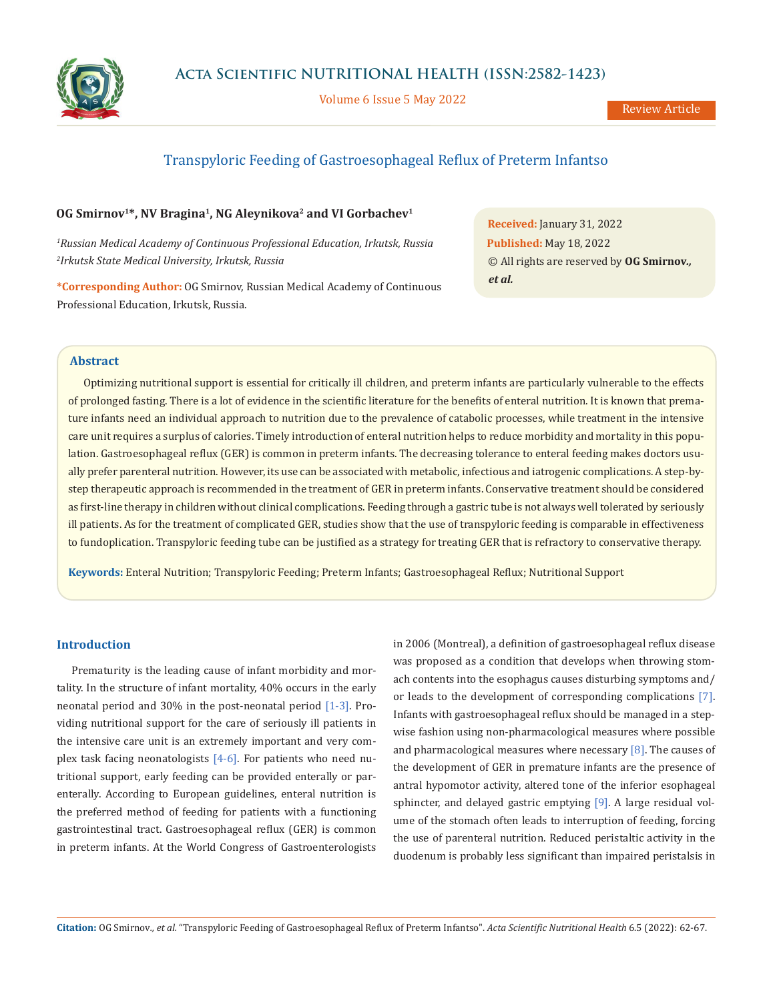

Volume 6 Issue 5 May 2022

# Transpyloric Feeding of Gastroesophageal Reflux of Preterm Infantso

### **OG Smirnov<sup>1\*</sup>, NV Bragina<sup>1</sup>, NG Aleynikova<sup>2</sup> and VI Gorbachev<sup>1</sup>**

*1 Russian Medical Academy of Continuous Professional Education, Irkutsk, Russia 2 Irkutsk State Medical University, Irkutsk, Russia*

**\*Corresponding Author:** OG Smirnov, Russian Medical Academy of Continuous Professional Education, Irkutsk, Russia.

**Received:** January 31, 2022 **Published:** May 18, 2022 © All rights are reserved by **OG Smirnov***., et al.*

### **Abstract**

Optimizing nutritional support is essential for critically ill children, and preterm infants are particularly vulnerable to the effects of prolonged fasting. There is a lot of evidence in the scientific literature for the benefits of enteral nutrition. It is known that premature infants need an individual approach to nutrition due to the prevalence of catabolic processes, while treatment in the intensive care unit requires a surplus of calories. Timely introduction of enteral nutrition helps to reduce morbidity and mortality in this population. Gastroesophageal reflux (GER) is common in preterm infants. The decreasing tolerance to enteral feeding makes doctors usually prefer parenteral nutrition. However, its use can be associated with metabolic, infectious and iatrogenic complications. A step-bystep therapeutic approach is recommended in the treatment of GER in preterm infants. Conservative treatment should be considered as first-line therapy in children without clinical complications. Feeding through a gastric tube is not always well tolerated by seriously ill patients. As for the treatment of complicated GER, studies show that the use of transpyloric feeding is comparable in effectiveness to fundoplication. Transpyloric feeding tube can be justified as a strategy for treating GER that is refractory to conservative therapy.

**Keywords:** Enteral Nutrition; Transpyloric Feeding; Preterm Infants; Gastroesophageal Reflux; Nutritional Support

### **Introduction**

Prematurity is the leading cause of infant morbidity and mortality. In the structure of infant mortality, 40% occurs in the early neonatal period and 30% in the post-neonatal period [1-3]. Providing nutritional support for the care of seriously ill patients in the intensive care unit is an extremely important and very complex task facing neonatologists  $[4-6]$ . For patients who need nutritional support, early feeding can be provided enterally or parenterally. According to European guidelines, enteral nutrition is the preferred method of feeding for patients with a functioning gastrointestinal tract. Gastroesophageal reflux (GER) is common in preterm infants. At the World Congress of Gastroenterologists in 2006 (Montreal), a definition of gastroesophageal reflux disease was proposed as a condition that develops when throwing stomach contents into the esophagus causes disturbing symptoms and/ or leads to the development of corresponding complications [7]. Infants with gastroesophageal reflux should be managed in a stepwise fashion using non-pharmacological measures where possible and pharmacological measures where necessary  $[8]$ . The causes of the development of GER in premature infants are the presence of antral hypomotor activity, altered tone of the inferior esophageal sphincter, and delayed gastric emptying [9]. A large residual volume of the stomach often leads to interruption of feeding, forcing the use of parenteral nutrition. Reduced peristaltic activity in the duodenum is probably less significant than impaired peristalsis in

**Citation:** OG Smirnov*., et al.* "Transpyloric Feeding of Gastroesophageal Reflux of Preterm Infantso". *Acta Scientific Nutritional Health* 6.5 (2022): 62-67.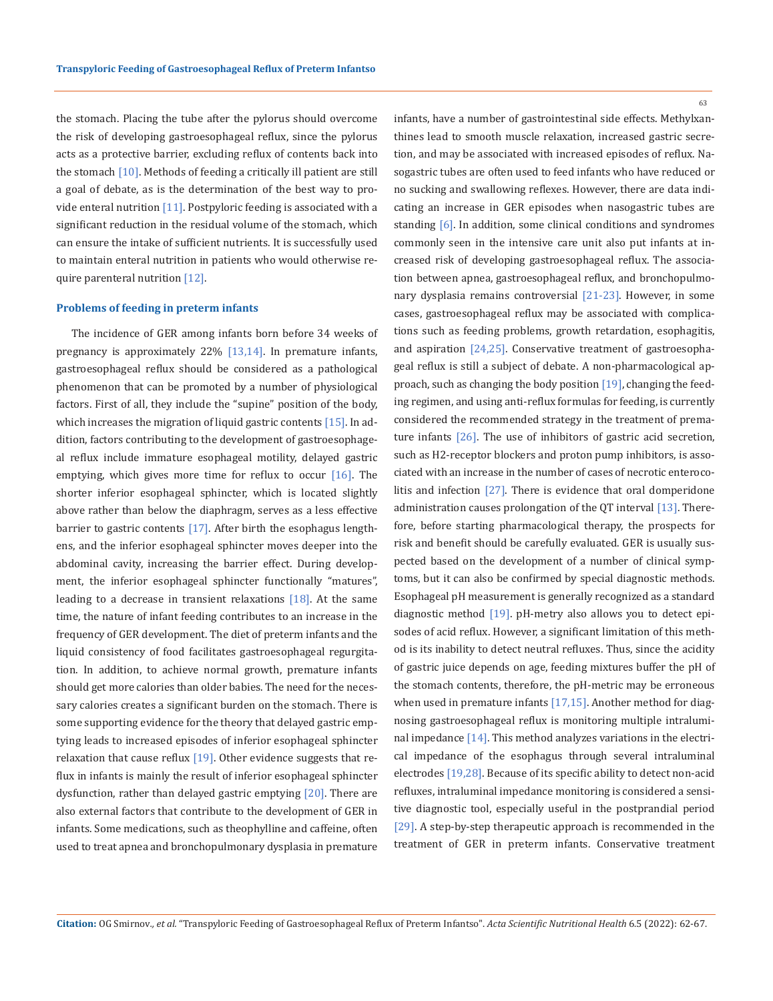the stomach. Placing the tube after the pylorus should overcome the risk of developing gastroesophageal reflux, since the pylorus acts as a protective barrier, excluding reflux of contents back into the stomach [10]. Methods of feeding a critically ill patient are still a goal of debate, as is the determination of the best way to provide enteral nutrition [11]. Postpyloric feeding is associated with a significant reduction in the residual volume of the stomach, which can ensure the intake of sufficient nutrients. It is successfully used to maintain enteral nutrition in patients who would otherwise require parenteral nutrition [12].

#### **Problems of feeding in preterm infants**

The incidence of GER among infants born before 34 weeks of pregnancy is approximately 22% [13,14]. In premature infants, gastroesophageal reflux should be considered as a pathological phenomenon that can be promoted by a number of physiological factors. First of all, they include the "supine" position of the body, which increases the migration of liquid gastric contents  $[15]$ . In addition, factors contributing to the development of gastroesophageal reflux include immature esophageal motility, delayed gastric emptying, which gives more time for reflux to occur  $[16]$ . The shorter inferior esophageal sphincter, which is located slightly above rather than below the diaphragm, serves as a less effective barrier to gastric contents [17]. After birth the esophagus lengthens, and the inferior esophageal sphincter moves deeper into the abdominal cavity, increasing the barrier effect. During development, the inferior esophageal sphincter functionally "matures", leading to a decrease in transient relaxations  $[18]$ . At the same time, the nature of infant feeding contributes to an increase in the frequency of GER development. The diet of preterm infants and the liquid consistency of food facilitates gastroesophageal regurgitation. In addition, to achieve normal growth, premature infants should get more calories than older babies. The need for the necessary calories creates a significant burden on the stomach. There is some supporting evidence for the theory that delayed gastric emptying leads to increased episodes of inferior esophageal sphincter relaxation that cause reflux  $[19]$ . Other evidence suggests that reflux in infants is mainly the result of inferior esophageal sphincter dysfunction, rather than delayed gastric emptying [20]. There are also external factors that contribute to the development of GER in infants. Some medications, such as theophylline and caffeine, often used to treat apnea and bronchopulmonary dysplasia in premature

63

infants, have a number of gastrointestinal side effects. Methylxanthines lead to smooth muscle relaxation, increased gastric secretion, and may be associated with increased episodes of reflux. Nasogastric tubes are often used to feed infants who have reduced or no sucking and swallowing reflexes. However, there are data indicating an increase in GER episodes when nasogastric tubes are standing [6]. In addition, some clinical conditions and syndromes commonly seen in the intensive care unit also put infants at increased risk of developing gastroesophageal reflux. The association between apnea, gastroesophageal reflux, and bronchopulmonary dysplasia remains controversial [21-23]. However, in some cases, gastroesophageal reflux may be associated with complications such as feeding problems, growth retardation, esophagitis, and aspiration [24,25]. Conservative treatment of gastroesophageal reflux is still a subject of debate. A non-pharmacological approach, such as changing the body position [19], changing the feeding regimen, and using anti-reflux formulas for feeding, is currently considered the recommended strategy in the treatment of premature infants [26]. The use of inhibitors of gastric acid secretion, such as H2-receptor blockers and proton pump inhibitors, is associated with an increase in the number of cases of necrotic enterocolitis and infection [27]. There is evidence that oral domperidone administration causes prolongation of the QT interval [13]. Therefore, before starting pharmacological therapy, the prospects for risk and benefit should be carefully evaluated. GER is usually suspected based on the development of a number of clinical symptoms, but it can also be confirmed by special diagnostic methods. Esophageal pH measurement is generally recognized as a standard diagnostic method [19]. pH-metry also allows you to detect episodes of acid reflux. However, a significant limitation of this method is its inability to detect neutral refluxes. Thus, since the acidity of gastric juice depends on age, feeding mixtures buffer the pH of the stomach contents, therefore, the pH-metric may be erroneous when used in premature infants [17,15]. Another method for diagnosing gastroesophageal reflux is monitoring multiple intraluminal impedance  $[14]$ . This method analyzes variations in the electrical impedance of the esophagus through several intraluminal electrodes [19,28]. Because of its specific ability to detect non-acid refluxes, intraluminal impedance monitoring is considered a sensitive diagnostic tool, especially useful in the postprandial period [29]. A step-by-step therapeutic approach is recommended in the treatment of GER in preterm infants. Conservative treatment

**Citation:** OG Smirnov*., et al.* "Transpyloric Feeding of Gastroesophageal Reflux of Preterm Infantso". *Acta Scientific Nutritional Health* 6.5 (2022): 62-67.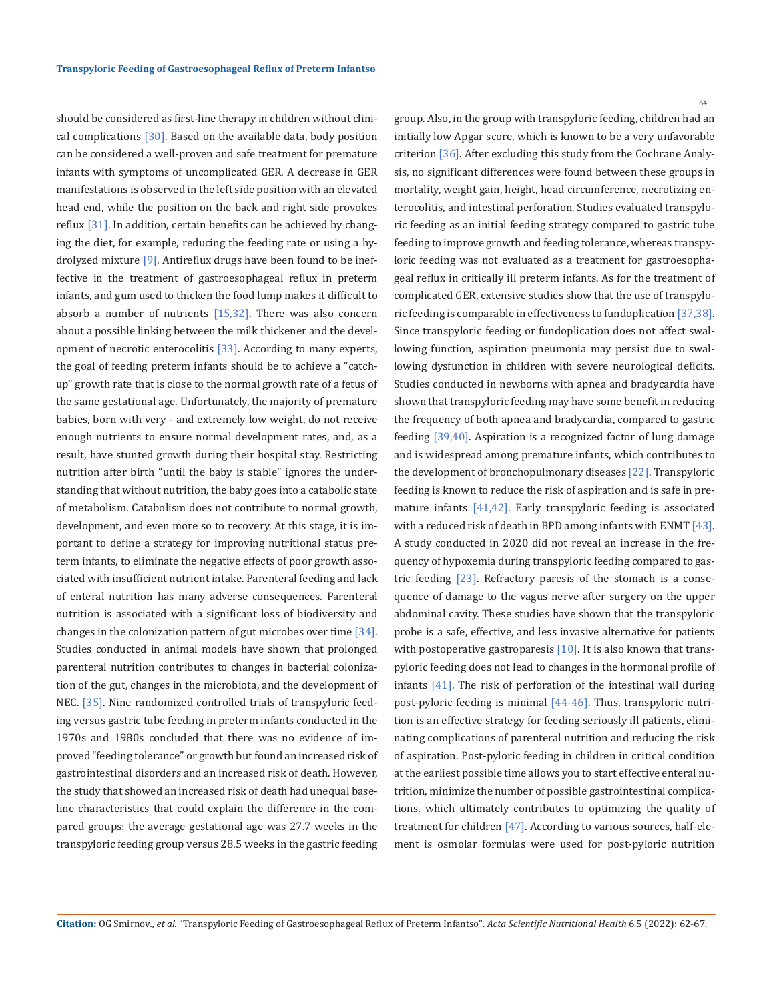should be considered as first-line therapy in children without clinical complications  $[30]$ . Based on the available data, body position can be considered a well-proven and safe treatment for premature infants with symptoms of uncomplicated GER. A decrease in GER manifestations is observed in the left side position with an elevated head end, while the position on the back and right side provokes reflux [31]. In addition, certain benefits can be achieved by changing the diet, for example, reducing the feeding rate or using a hydrolyzed mixture [9]. Antireflux drugs have been found to be ineffective in the treatment of gastroesophageal reflux in preterm infants, and gum used to thicken the food lump makes it difficult to absorb a number of nutrients  $[15,32]$ . There was also concern about a possible linking between the milk thickener and the development of necrotic enterocolitis [33]. According to many experts, the goal of feeding preterm infants should be to achieve a "catchup" growth rate that is close to the normal growth rate of a fetus of the same gestational age. Unfortunately, the majority of premature babies, born with very - and extremely low weight, do not receive enough nutrients to ensure normal development rates, and, as a result, have stunted growth during their hospital stay. Restricting nutrition after birth "until the baby is stable" ignores the understanding that without nutrition, the baby goes into a catabolic state of metabolism. Catabolism does not contribute to normal growth, development, and even more so to recovery. At this stage, it is important to define a strategy for improving nutritional status preterm infants, to eliminate the negative effects of poor growth associated with insufficient nutrient intake. Parenteral feeding and lack of enteral nutrition has many adverse consequences. Parenteral nutrition is associated with a significant loss of biodiversity and changes in the colonization pattern of gut microbes over time [34]. Studies conducted in animal models have shown that prolonged parenteral nutrition contributes to changes in bacterial colonization of the gut, changes in the microbiota, and the development of NEC. [35]. Nine randomized controlled trials of transpyloric feeding versus gastric tube feeding in preterm infants conducted in the 1970s and 1980s concluded that there was no evidence of improved "feeding tolerance" or growth but found an increased risk of gastrointestinal disorders and an increased risk of death. However, the study that showed an increased risk of death had unequal baseline characteristics that could explain the difference in the compared groups: the average gestational age was 27.7 weeks in the transpyloric feeding group versus 28.5 weeks in the gastric feeding

64

group. Also, in the group with transpyloric feeding, children had an initially low Apgar score, which is known to be a very unfavorable criterion [36]. After excluding this study from the Cochrane Analysis, no significant differences were found between these groups in mortality, weight gain, height, head circumference, necrotizing enterocolitis, and intestinal perforation. Studies evaluated transpyloric feeding as an initial feeding strategy compared to gastric tube feeding to improve growth and feeding tolerance, whereas transpyloric feeding was not evaluated as a treatment for gastroesophageal reflux in critically ill preterm infants. As for the treatment of complicated GER, extensive studies show that the use of transpyloric feeding is comparable in effectiveness to fundoplication [37,38]. Since transpyloric feeding or fundoplication does not affect swallowing function, aspiration pneumonia may persist due to swallowing dysfunction in children with severe neurological deficits. Studies conducted in newborns with apnea and bradycardia have shown that transpyloric feeding may have some benefit in reducing the frequency of both apnea and bradycardia, compared to gastric feeding [39,40]. Aspiration is a recognized factor of lung damage and is widespread among premature infants, which contributes to the development of bronchopulmonary diseases [22]. Transpyloric feeding is known to reduce the risk of aspiration and is safe in premature infants [41,42]. Early transpyloric feeding is associated with a reduced risk of death in BPD among infants with ENMT [43]. A study conducted in 2020 did not reveal an increase in the frequency of hypoxemia during transpyloric feeding compared to gastric feeding  $[23]$ . Refractory paresis of the stomach is a consequence of damage to the vagus nerve after surgery on the upper abdominal cavity. These studies have shown that the transpyloric probe is a safe, effective, and less invasive alternative for patients with postoperative gastroparesis  $[10]$ . It is also known that transpyloric feeding does not lead to changes in the hormonal profile of infants [41]. The risk of perforation of the intestinal wall during post-pyloric feeding is minimal [44-46]. Thus, transpyloric nutrition is an effective strategy for feeding seriously ill patients, eliminating complications of parenteral nutrition and reducing the risk of aspiration. Post-pyloric feeding in children in critical condition at the earliest possible time allows you to start effective enteral nutrition, minimize the number of possible gastrointestinal complications, which ultimately contributes to optimizing the quality of treatment for children [47]. According to various sources, half-element is osmolar formulas were used for post-pyloric nutrition

**Citation:** OG Smirnov*., et al.* "Transpyloric Feeding of Gastroesophageal Reflux of Preterm Infantso". *Acta Scientific Nutritional Health* 6.5 (2022): 62-67.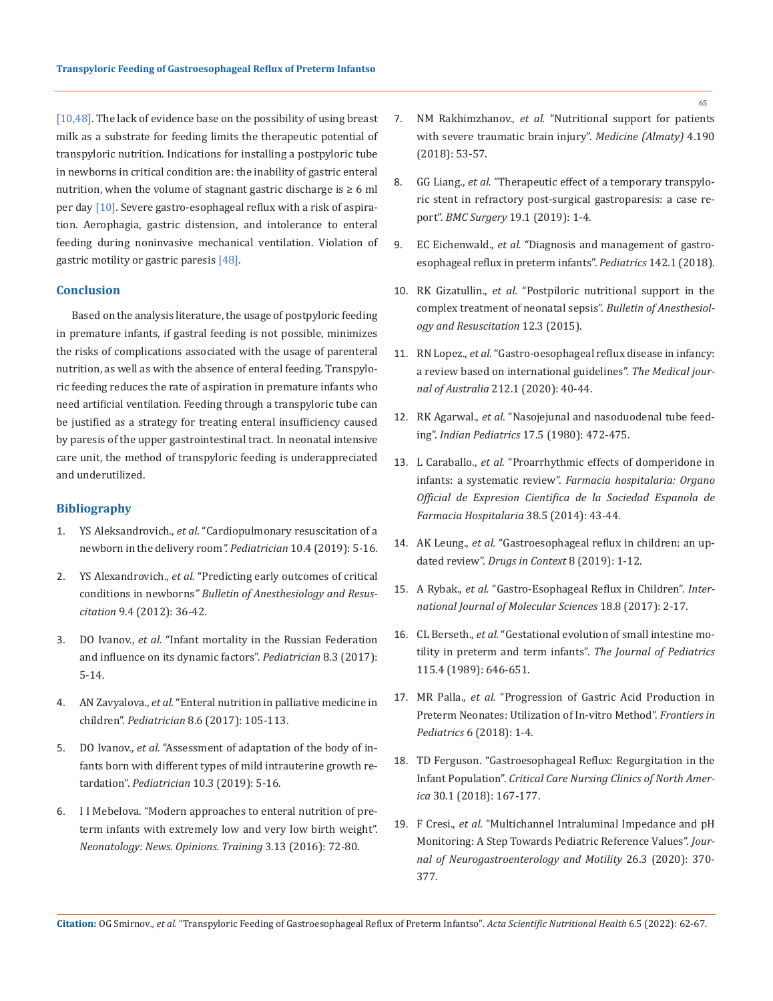[10,48]. The lack of evidence base on the possibility of using breast milk as a substrate for feeding limits the therapeutic potential of transpyloric nutrition. Indications for installing a postpyloric tube in newborns in critical condition are: the inability of gastric enteral nutrition, when the volume of stagnant gastric discharge is  $\geq 6$  ml per day [10]. Severe gastro-esophageal reflux with a risk of aspiration. Aerophagia, gastric distension, and intolerance to enteral feeding during noninvasive mechanical ventilation. Violation of gastric motility or gastric paresis [48].

### **Conclusion**

Based on the analysis literature, the usage of postpyloric feeding in premature infants, if gastral feeding is not possible, minimizes the risks of complications associated with the usage of parenteral nutrition, as well as with the absence of enteral feeding. Transpyloric feeding reduces the rate of aspiration in premature infants who need artificial ventilation. Feeding through a transpyloric tube can be justified as a strategy for treating enteral insufficiency caused by paresis of the upper gastrointestinal tract. In neonatal intensive care unit, the method of transpyloric feeding is underappreciated and underutilized.

# **Bibliography**

- 1. YS Aleksandrovich., *et al.* "Cardiopulmonary resuscitation of a newborn in the delivery room*". Pediatrician* 10.4 (2019): 5-16.
- 2. YS Alexandrovich., *et al.* ["Predicting early outcomes of critical](https://www.google.com/search?q=Predicting+early+outcomes+of+critical+conditions+in+newborns&client=firefox-b-d&ei=G7wpYvjPAdKX4-EPu7y8sAc&ved=0ahUKEwi4yY2Ulbv2AhXSyzgGHTseD3YQ4dUDCA0&uact=5&oq=Predicting+early+outcomes+of+critical+conditions+in+newborns&gs_lcp=Cgdnd3Mtd2l6EAMyBwgAEEcQsAMyBwgAEEcQsAMyBwgAEEcQsAMyBwgAEEcQsAMyBwgAEEcQsAMyBwgAEEcQsAMyBwgAEEcQsAMyBwgAEEcQsANKBAhBGABKBAhGGABQqAJYqAJg-QNoAXABeACAAQCIAQCSAQCYAQCgAQKgAQHIAQjAAQE&sclient=gws-wiz)  conditions in newborns*" [Bulletin of Anesthesiology and Resus](https://www.google.com/search?q=Predicting+early+outcomes+of+critical+conditions+in+newborns&client=firefox-b-d&ei=G7wpYvjPAdKX4-EPu7y8sAc&ved=0ahUKEwi4yY2Ulbv2AhXSyzgGHTseD3YQ4dUDCA0&uact=5&oq=Predicting+early+outcomes+of+critical+conditions+in+newborns&gs_lcp=Cgdnd3Mtd2l6EAMyBwgAEEcQsAMyBwgAEEcQsAMyBwgAEEcQsAMyBwgAEEcQsAMyBwgAEEcQsAMyBwgAEEcQsAMyBwgAEEcQsAMyBwgAEEcQsANKBAhBGABKBAhGGABQqAJYqAJg-QNoAXABeACAAQCIAQCSAQCYAQCgAQKgAQHIAQjAAQE&sclient=gws-wiz)citation* [9.4 \(2012\): 36-42.](https://www.google.com/search?q=Predicting+early+outcomes+of+critical+conditions+in+newborns&client=firefox-b-d&ei=G7wpYvjPAdKX4-EPu7y8sAc&ved=0ahUKEwi4yY2Ulbv2AhXSyzgGHTseD3YQ4dUDCA0&uact=5&oq=Predicting+early+outcomes+of+critical+conditions+in+newborns&gs_lcp=Cgdnd3Mtd2l6EAMyBwgAEEcQsAMyBwgAEEcQsAMyBwgAEEcQsAMyBwgAEEcQsAMyBwgAEEcQsAMyBwgAEEcQsAMyBwgAEEcQsAMyBwgAEEcQsANKBAhBGABKBAhGGABQqAJYqAJg-QNoAXABeACAAQCIAQCSAQCYAQCgAQKgAQHIAQjAAQE&sclient=gws-wiz)
- 3. DO Ivanov., *et al.* ["Infant mortality in the Russian Federation](https://journals.eco-vector.com/pediatr/article/view/6691)  [and influence on its dynamic factors".](https://journals.eco-vector.com/pediatr/article/view/6691) *Pediatrician* 8.3 (2017): [5-14.](https://journals.eco-vector.com/pediatr/article/view/6691)
- 4. AN Zavyalova., *et al.* ["Enteral nutrition in palliative medicine in](https://journals.eco-vector.com/pediatr/article/view/7884)  children". *Pediatrician* [8.6 \(2017\): 105-113.](https://journals.eco-vector.com/pediatr/article/view/7884)
- 5. DO Ivanov., *et al.* ["Assessment of adaptation of the body of in](https://journals.eco-vector.com/pediatr/article/view/15675)[fants born with different types of mild intrauterine growth re](https://journals.eco-vector.com/pediatr/article/view/15675)tardation". *Pediatrician* [10.3 \(2019\): 5-16.](https://journals.eco-vector.com/pediatr/article/view/15675)
- 6. I I Mebelova. "Modern approaches to enteral nutrition of preterm infants with extremely low and very low birth weight". *Neonatology: News. Opinions. Training* 3.13 (2016): 72-80.
- 7. NM Rakhimzhanov., *et al.* "Nutritional support for patients with severe traumatic brain injury". *Medicine (Almaty)* 4.190 (2018): 53-57.
- 8. GG Liang., *et al.* ["Therapeutic effect of a temporary transpylo](https://www.researchgate.net/publication/331384199_Therapeutic_effect_of_a_temporary_transpyloric_stent_in_refractory_post-surgical_gastroparesis_A_case_report)[ric stent in refractory post-surgical gastroparesis: a case re](https://www.researchgate.net/publication/331384199_Therapeutic_effect_of_a_temporary_transpyloric_stent_in_refractory_post-surgical_gastroparesis_A_case_report)port". *BMC Surgery* [19.1 \(2019\): 1-4.](https://www.researchgate.net/publication/331384199_Therapeutic_effect_of_a_temporary_transpyloric_stent_in_refractory_post-surgical_gastroparesis_A_case_report)
- 9. EC Eichenwald., *et al.* ["Diagnosis and management of gastro](https://pubmed.ncbi.nlm.nih.gov/29915158/)[esophageal reflux in preterm infants".](https://pubmed.ncbi.nlm.nih.gov/29915158/) *Pediatrics* 142.1 (2018).
- 10. RK Gizatullin., *et al.* "Postpiloric nutritional support in the complex treatment of neonatal sepsis". *Bulletin of Anesthesiology and Resuscitation* 12.3 (2015).
- 11. RN Lopez., *et al.* ["Gastro-oesophageal reflux disease in infancy:](https://pubmed.ncbi.nlm.nih.gov/31834639/)  [a review based on international guidelines".](https://pubmed.ncbi.nlm.nih.gov/31834639/) *The Medical journal of Australia* [212.1 \(2020\): 40-44.](https://pubmed.ncbi.nlm.nih.gov/31834639/)
- 12. RK Agarwal., *et al.* "Nasojejunal and nasoduodenal tube feeding". *Indian Pediatrics* 17.5 (1980): 472-475.
- 13. L Caraballo., *et al.* ["Proarrhythmic effects of domperidone in](https://www.researchgate.net/publication/268984952_Proarrhythmic_effects_of_domperidone_in_infants_a_systematic_review)  infants: a systematic review". *[Farmacia hospitalaria: Organo](https://www.researchgate.net/publication/268984952_Proarrhythmic_effects_of_domperidone_in_infants_a_systematic_review)  [Official de Expresion Cientifica de la Sociedad Espanola de](https://www.researchgate.net/publication/268984952_Proarrhythmic_effects_of_domperidone_in_infants_a_systematic_review)  [Farmacia Hospitalaria](https://www.researchgate.net/publication/268984952_Proarrhythmic_effects_of_domperidone_in_infants_a_systematic_review)* 38.5 (2014): 43-44.
- 14. AK Leung., *et al.* ["Gastroesophageal reflux in children: an up](https://www.ncbi.nlm.nih.gov/pmc/articles/PMC6586172/)dated review". *[Drugs in Context](https://www.ncbi.nlm.nih.gov/pmc/articles/PMC6586172/)* 8 (2019): 1-12.
- 15. A Rybak., *et al.* ["Gastro-Esophageal Reflux in Children".](https://pubmed.ncbi.nlm.nih.gov/28763023/) *Inter[national Journal of Molecular Sciences](https://pubmed.ncbi.nlm.nih.gov/28763023/)* 18.8 (2017): 2-17.
- 16. CL Berseth., *et al.* ["Gestational evolution of small intestine mo](https://pubmed.ncbi.nlm.nih.gov/2507768/)[tility in preterm and term infants".](https://pubmed.ncbi.nlm.nih.gov/2507768/) *The Journal of Pediatrics*  [115.4 \(1989\): 646-651.](https://pubmed.ncbi.nlm.nih.gov/2507768/)
- 17. MR Palla., *et al.* ["Progression of Gastric Acid Production in](https://www.frontiersin.org/articles/10.3389/fped.2018.00211/full)  [Preterm Neonates: Utilization of In-vitro Method".](https://www.frontiersin.org/articles/10.3389/fped.2018.00211/full) *Frontiers in Pediatrics* [6 \(2018\): 1-4.](https://www.frontiersin.org/articles/10.3389/fped.2018.00211/full)
- 18. [TD Ferguson. "Gastroesophageal Reflux: Regurgitation in the](https://pubmed.ncbi.nlm.nih.gov/29107332/)  Infant Population". *[Critical Care Nursing Clinics of North Amer](https://pubmed.ncbi.nlm.nih.gov/29107332/)ica* [30.1 \(2018\): 167-177.](https://pubmed.ncbi.nlm.nih.gov/29107332/)
- 19. F Cresi., *et al.* ["Multichannel Intraluminal Impedance and pH](https://www.researchgate.net/publication/342330586_Multichannel_Intraluminal_Impedance_and_pH_Monitoring_A_Step_Towards_Pediatric_Reference_Values)  [Monitoring: A Step Towards Pediatric Reference Values".](https://www.researchgate.net/publication/342330586_Multichannel_Intraluminal_Impedance_and_pH_Monitoring_A_Step_Towards_Pediatric_Reference_Values) *Jour[nal of Neurogastroenterology and Motility](https://www.researchgate.net/publication/342330586_Multichannel_Intraluminal_Impedance_and_pH_Monitoring_A_Step_Towards_Pediatric_Reference_Values)* 26.3 (2020): 370- [377.](https://www.researchgate.net/publication/342330586_Multichannel_Intraluminal_Impedance_and_pH_Monitoring_A_Step_Towards_Pediatric_Reference_Values)

**Citation:** OG Smirnov*., et al.* "Transpyloric Feeding of Gastroesophageal Reflux of Preterm Infantso". *Acta Scientific Nutritional Health* 6.5 (2022): 62-67.

65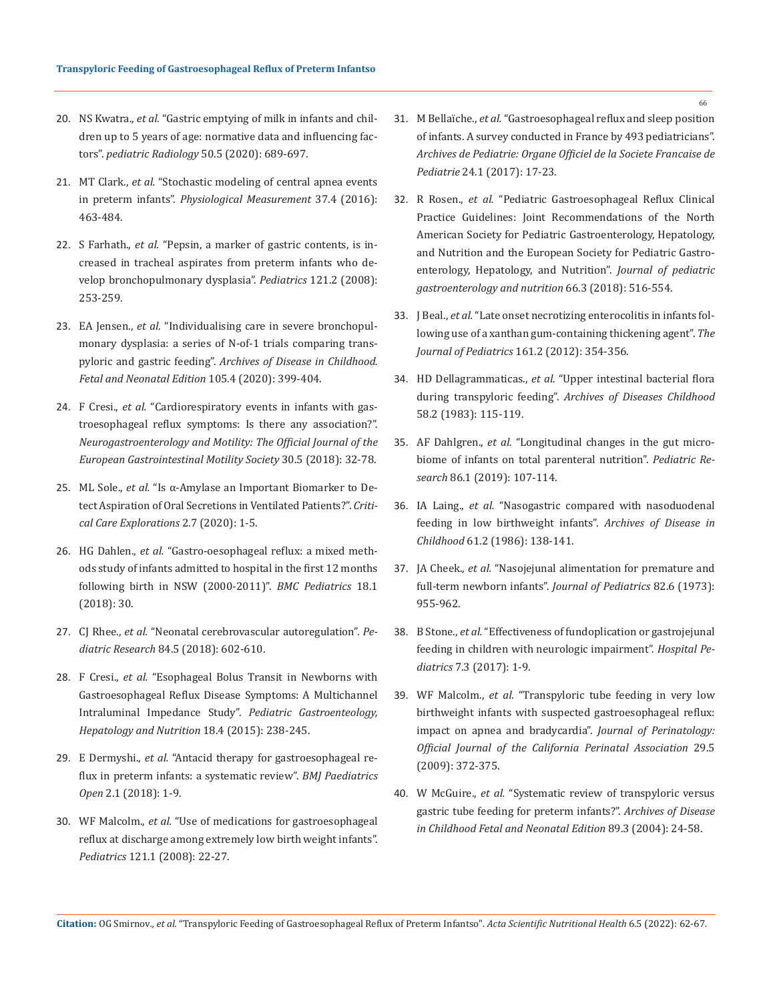- 20. NS Kwatra., *et al.* ["Gastric emptying of milk in infants and chil](https://pubmed.ncbi.nlm.nih.gov/31993707/)[dren up to 5 years of age: normative data and influencing fac](https://pubmed.ncbi.nlm.nih.gov/31993707/)tors". *[pediatric Radiology](https://pubmed.ncbi.nlm.nih.gov/31993707/)* 50.5 (2020): 689-697.
- 21. MT Clark., *et al.* ["Stochastic modeling of central apnea events](https://iopscience.iop.org/article/10.1088/0967-3334/37/4/463)  in preterm infants". *[Physiological Measurement](https://iopscience.iop.org/article/10.1088/0967-3334/37/4/463)* 37.4 (2016): [463-484.](https://iopscience.iop.org/article/10.1088/0967-3334/37/4/463)
- 22. S Farhath., *et al.* ["Pepsin, a marker of gastric contents, is in](https://publications.aap.org/pediatrics/article-abstract/121/2/e253/68726/Pepsin-a-Marker-of-Gastric-Contents-Is-Increased?redirectedFrom=fulltext)[creased in tracheal aspirates from preterm infants who de](https://publications.aap.org/pediatrics/article-abstract/121/2/e253/68726/Pepsin-a-Marker-of-Gastric-Contents-Is-Increased?redirectedFrom=fulltext)[velop bronchopulmonary dysplasia".](https://publications.aap.org/pediatrics/article-abstract/121/2/e253/68726/Pepsin-a-Marker-of-Gastric-Contents-Is-Increased?redirectedFrom=fulltext) *Pediatrics* 121.2 (2008): [253-259.](https://publications.aap.org/pediatrics/article-abstract/121/2/e253/68726/Pepsin-a-Marker-of-Gastric-Contents-Is-Increased?redirectedFrom=fulltext)
- 23. EA Jensen., *et al.* ["Individualising care in severe bronchopul](https://nutrition.pharmacy.purdue.edu/individualising-care-severe-bronchopulmonary-dysplasia-series-n-1-trials-comparing-transpyloric-and)[monary dysplasia: a series of N-of-1 trials comparing trans](https://nutrition.pharmacy.purdue.edu/individualising-care-severe-bronchopulmonary-dysplasia-series-n-1-trials-comparing-transpyloric-and)pyloric and gastric feeding". *[Archives of Disease in Childhood.](https://nutrition.pharmacy.purdue.edu/individualising-care-severe-bronchopulmonary-dysplasia-series-n-1-trials-comparing-transpyloric-and)  [Fetal and Neonatal Edition](https://nutrition.pharmacy.purdue.edu/individualising-care-severe-bronchopulmonary-dysplasia-series-n-1-trials-comparing-transpyloric-and)* 105.4 (2020): 399-404.
- 24. F Cresi., *et al.* ["Cardiorespiratory events in infants with gas](https://onlinelibrary.wiley.com/doi/10.1111/nmo.13278)[troesophageal reflux symptoms: Is there any association?".](https://onlinelibrary.wiley.com/doi/10.1111/nmo.13278)  *[Neurogastroenterology and Motility: The Official Journal of the](https://onlinelibrary.wiley.com/doi/10.1111/nmo.13278)  [European Gastrointestinal Motility Society](https://onlinelibrary.wiley.com/doi/10.1111/nmo.13278)* 30.5 (2018): 32-78.
- 25. ML Sole., *et al.* ["Is α-Amylase an Important Biomarker to De](https://pubmed.ncbi.nlm.nih.gov/32695988/)[tect Aspiration of Oral Secretions in Ventilated Patients?".](https://pubmed.ncbi.nlm.nih.gov/32695988/) *Criti[cal Care Explorations](https://pubmed.ncbi.nlm.nih.gov/32695988/)* 2.7 (2020): 1-5.
- 26. HG Dahlen., *et al.* ["Gastro-oesophageal reflux: a mixed meth](https://pubmed.ncbi.nlm.nih.gov/29429411/)[ods study of infants admitted to hospital in the first 12 months](https://pubmed.ncbi.nlm.nih.gov/29429411/)  [following birth in NSW \(2000-2011\)".](https://pubmed.ncbi.nlm.nih.gov/29429411/) *BMC Pediatrics* 18.1 [\(2018\): 30.](https://pubmed.ncbi.nlm.nih.gov/29429411/)
- 27. CJ Rhee., *et al.* ["Neonatal cerebrovascular autoregulation".](https://www.nature.com/articles/s41390-018-0141-6?proof=thttps%3A%2F%2Fwww.nature.com%2Farticles%2Fsj.bdj.2014.353%3Fproof%3Dt) *Pediatric Research* [84.5 \(2018\): 602-610.](https://www.nature.com/articles/s41390-018-0141-6?proof=thttps%3A%2F%2Fwww.nature.com%2Farticles%2Fsj.bdj.2014.353%3Fproof%3Dt)
- 28. F Cresi., *et al.* ["Esophageal Bolus Transit in Newborns with](https://www.researchgate.net/publication/290221375_Esophageal_Bolus_Transit_in_Newborns_with_Gastroesophageal_Reflux_Disease_Symptoms_A_Multichannel_Intraluminal_Impedance_Study)  [Gastroesophageal Reflux Disease Symptoms: A Multichannel](https://www.researchgate.net/publication/290221375_Esophageal_Bolus_Transit_in_Newborns_with_Gastroesophageal_Reflux_Disease_Symptoms_A_Multichannel_Intraluminal_Impedance_Study)  [Intraluminal Impedance Study".](https://www.researchgate.net/publication/290221375_Esophageal_Bolus_Transit_in_Newborns_with_Gastroesophageal_Reflux_Disease_Symptoms_A_Multichannel_Intraluminal_Impedance_Study) *Pediatric Gastroenteology, [Hepatology and Nutrition](https://www.researchgate.net/publication/290221375_Esophageal_Bolus_Transit_in_Newborns_with_Gastroesophageal_Reflux_Disease_Symptoms_A_Multichannel_Intraluminal_Impedance_Study)* 18.4 (2015): 238-245.
- 29. E Dermyshi., *et al.* ["Antacid therapy for gastroesophageal re](https://bmjpaedsopen.bmj.com/content/2/1/e000287)[flux in preterm infants: a systematic review".](https://bmjpaedsopen.bmj.com/content/2/1/e000287) *BMJ Paediatrics Open* [2.1 \(2018\): 1-9.](https://bmjpaedsopen.bmj.com/content/2/1/e000287)
- 30. WF Malcolm., *et al.* ["Use of medications for gastroesophageal](https://publications.aap.org/pediatrics/article-abstract/121/1/22/71046/Use-of-Medications-for-Gastroesophageal-Reflux-at?redirectedFrom=fulltext)  [reflux at discharge among extremely low birth weight infants".](https://publications.aap.org/pediatrics/article-abstract/121/1/22/71046/Use-of-Medications-for-Gastroesophageal-Reflux-at?redirectedFrom=fulltext)  *Pediatrics* [121.1 \(2008\): 22-27.](https://publications.aap.org/pediatrics/article-abstract/121/1/22/71046/Use-of-Medications-for-Gastroesophageal-Reflux-at?redirectedFrom=fulltext)
- 31. M Bellaïche., *et al.* ["Gastroesophageal reflux and sleep position](https://pubmed.ncbi.nlm.nih.gov/27916335/)  [of infants. A survey conducted in France by 493 pediatricians".](https://pubmed.ncbi.nlm.nih.gov/27916335/)  *[Archives de Pediatrie: Organe Officiel de la Societe Francaise de](https://pubmed.ncbi.nlm.nih.gov/27916335/)  Pediatrie* [24.1 \(2017\): 17-23.](https://pubmed.ncbi.nlm.nih.gov/27916335/)
- 32. R Rosen., *et al.* ["Pediatric Gastroesophageal Reflux Clinical](https://pubmed.ncbi.nlm.nih.gov/29470322/)  [Practice Guidelines: Joint Recommendations of the North](https://pubmed.ncbi.nlm.nih.gov/29470322/)  [American Society for Pediatric Gastroenterology, Hepatology,](https://pubmed.ncbi.nlm.nih.gov/29470322/)  [and Nutrition and the European Society for Pediatric Gastro](https://pubmed.ncbi.nlm.nih.gov/29470322/)[enterology, Hepatology, and Nutrition".](https://pubmed.ncbi.nlm.nih.gov/29470322/) *Journal of pediatric [gastroenterology and nutrition](https://pubmed.ncbi.nlm.nih.gov/29470322/)* 66.3 (2018): 516-554.
- 33. J Beal., *et al.* ["Late onset necrotizing enterocolitis in infants fol](https://pubmed.ncbi.nlm.nih.gov/22575248/)[lowing use of a xanthan gum-containing thickening agent".](https://pubmed.ncbi.nlm.nih.gov/22575248/) *The [Journal of Pediatrics](https://pubmed.ncbi.nlm.nih.gov/22575248/)* 161.2 (2012): 354-356.
- 34. HD Dellagrammaticas., *et al.* ["Upper intestinal bacterial flora](https://www.ncbi.nlm.nih.gov/pmc/articles/PMC1628092/)  during transpyloric feeding". *[Archives of Diseases Childhood](https://www.ncbi.nlm.nih.gov/pmc/articles/PMC1628092/)* [58.2 \(1983\): 115-119.](https://www.ncbi.nlm.nih.gov/pmc/articles/PMC1628092/)
- 35. AF Dahlgren., *et al.* ["Longitudinal changes in the gut micro](https://pubmed.ncbi.nlm.nih.gov/30965357/)[biome of infants on total parenteral nutrition".](https://pubmed.ncbi.nlm.nih.gov/30965357/) *Pediatric Research* [86.1 \(2019\): 107-114.](https://pubmed.ncbi.nlm.nih.gov/30965357/)
- 36. IA Laing., *et al.* ["Nasogastric compared with nasoduodenal](https://pubmed.ncbi.nlm.nih.gov/812052/)  [feeding in low birthweight infants".](https://pubmed.ncbi.nlm.nih.gov/812052/) *Archives of Disease in Childhood* [61.2 \(1986\): 138-141.](https://pubmed.ncbi.nlm.nih.gov/812052/)
- 37. JA Cheek., *et al.* ["Nasojejunal alimentation for premature and](https://pubmed.ncbi.nlm.nih.gov/4634019/)  [full-term newborn infants".](https://pubmed.ncbi.nlm.nih.gov/4634019/) *Journal of Pediatrics* 82.6 (1973): [955-962.](https://pubmed.ncbi.nlm.nih.gov/4634019/)
- 38. B Stone., *et al.* ["Effectiveness of fundoplication or gastrojejunal](https://www.frontiersin.org/articles/10.3389/fped.2020.00333/full)  [feeding in children with neurologic impairment".](https://www.frontiersin.org/articles/10.3389/fped.2020.00333/full) *Hospital Pediatrics* [7.3 \(2017\): 1-9.](https://www.frontiersin.org/articles/10.3389/fped.2020.00333/full)
- 39. WF Malcolm., *et al.* ["Transpyloric tube feeding in very low](https://pubmed.ncbi.nlm.nih.gov/19242488/)  [birthweight infants with suspected gastroesophageal reflux:](https://pubmed.ncbi.nlm.nih.gov/19242488/)  [impact on apnea and bradycardia".](https://pubmed.ncbi.nlm.nih.gov/19242488/) *Journal of Perinatology: [Official Journal of the California Perinatal Association](https://pubmed.ncbi.nlm.nih.gov/19242488/)* 29.5 [\(2009\): 372-375.](https://pubmed.ncbi.nlm.nih.gov/19242488/)
- 40. W McGuire., *et al.* ["Systematic review of transpyloric versus](https://pubmed.ncbi.nlm.nih.gov/15102729/)  [gastric tube feeding for preterm infants?".](https://pubmed.ncbi.nlm.nih.gov/15102729/) *Archives of Disease [in Childhood Fetal and Neonatal Edition](https://pubmed.ncbi.nlm.nih.gov/15102729/)* 89.3 (2004): 24-58.

**Citation:** OG Smirnov*., et al.* "Transpyloric Feeding of Gastroesophageal Reflux of Preterm Infantso". *Acta Scientific Nutritional Health* 6.5 (2022): 62-67.

66